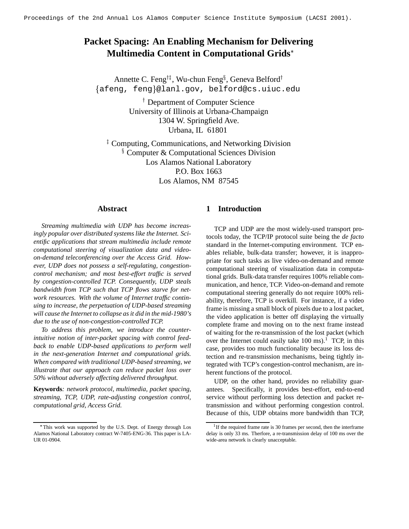# **Packet Spacing: An Enabling Mechanism for Delivering Multimedia Content in Computational Grids**

Annette C. Feng<sup>†‡</sup>, Wu-chun Feng<sup>§</sup>, Geneva Belford<sup>†</sup> afeng, feng @lanl.gov, belford@cs.uiuc.edu

 $\blacksquare$ 

Department of Computer Science University of Illinois at Urbana-Champaign 1304 W. Springfield Ave. Urbana, IL 61801

- Computing, Communications, and Networking Division  $\frac{1}{2}$  Computer & Computational Sciences Division Los Alamos National Laboratory P.O. Box 1663 Los Alamos, NM 87545

## **Abstract**

*Streaming multimedia with UDP has become increasingly popular over distributed systems like the Internet. Scientific applications that stream multimedia include remote computational steering of visualization data and videoon-demand teleconferencing over the Access Grid. However, UDP does not possess a self-regulating, congestioncontrol mechanism; and most best-effort traffic is served by congestion-controlled TCP. Consequently, UDP steals bandwidth from TCP such that TCP flows starve for network resources. With the volume of Internet traffic continuing to increase, the perpetuation of UDP-based streaming will cause the Internet to collapse as it did in the mid-1980's due to the use of non-congestion-controlled TCP.*

*To address this problem, we introduce the counterintuitive notion of inter-packet spacing with control feedback to enable UDP-based applications to perform well in the next-generation Internet and computational grids. When compared with traditional UDP-based streaming, we illustrate that our approach can reduce packet loss over 50% without adversely affecting delivered throughput.*

**Keywords***: network protocol, multimedia, packet spacing, streaming, TCP, UDP, rate-adjusting congestion control, computational grid, Access Grid.*

## **1 Introduction**

TCP and UDP are the most widely-used transport protocols today, the TCP/IP protocol suite being the *de facto* standard in the Internet-computing environment. TCP enables reliable, bulk-data transfer; however, it is inappropriate for such tasks as live video-on-demand and remote computational steering of visualization data in computational grids. Bulk-data transfer requires 100% reliable communication, and hence, TCP. Video-on-demand and remote computational steering generally do not require 100% reliability, therefore, TCP is overkill. For instance, if a video frame is missing a small block of pixels due to a lost packet, the video application is better off displaying the virtually complete frame and moving on to the next frame instead of waiting for the re-transmission of the lost packet (which over the Internet could easily take  $100 \text{ ms}$ .<sup>1</sup> TCP, in this case, provides too much functionality because its loss detection and re-transmission mechanisms, being tightly integrated with TCP's congestion-control mechanism, are inherent functions of the protocol.

UDP, on the other hand, provides no reliability guarantees. Specifically, it provides best-effort, end-to-end service without performing loss detection and packet retransmission and without performing congestion control. Because of this, UDP obtains more bandwidth than TCP,

This work was supported by the U.S. Dept. of Energy through Los Alamos National Laboratory contract W-7405-ENG-36. This paper is LA-UR 01-0904.

<sup>&</sup>lt;sup>1</sup>If the required frame rate is 30 frames per second, then the interframe delay is only 33 ms. Therfore, a re-transmission delay of 100 ms over the wide-area network is clearly unacceptable.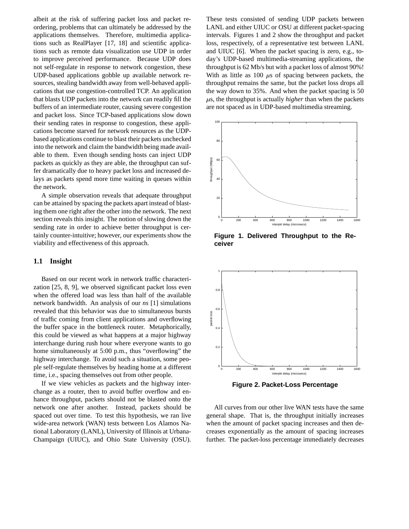albeit at the risk of suffering packet loss and packet reordering, problems that can ultimately be addressed by the applications themselves. Therefore, multimedia applications such as RealPlayer [17, 18] and scientific applications such as remote data visualization use UDP in order to improve perceived performance. Because UDP does not self-regulate in response to network congestion, these UDP-based applications gobble up available network resources, stealing bandwidth away from well-behaved applications that use congestion-controlled TCP. An application that blasts UDP packets into the network can readily fill the buffers of an intermediate router, causing severe congestion and packet loss. Since TCP-based applications slow down their sending rates in response to congestion, these applications become starved for network resources as the UDPbased applications continue to blast their packets unchecked into the network and claim the bandwidth being made available to them. Even though sending hosts can inject UDP packets as quickly as they are able, the throughput can suffer dramatically due to heavy packet loss and increased delays as packets spend more time waiting in queues within the network.

A simple observation reveals that adequate throughput can be attained by spacing the packets apart instead of blasting them one right after the other into the network. The next section reveals this insight. The notion of slowing down the sending rate in order to achieve better throughput is certainly counter-intuitive; however, our experiments show the viability and effectiveness of this approach.

#### **1.1 Insight**

Based on our recent work in network traffic characterization [25, 8, 9], we observed significant packet loss even when the offered load was less than half of the available network bandwidth. An analysis of our *ns* [1] simulations revealed that this behavior was due to simultaneous bursts of traffic coming from client applications and overflowing the buffer space in the bottleneck router. Metaphorically, this could be viewed as what happens at a major highway interchange during rush hour where everyone wants to go home simultaneously at 5:00 p.m., thus "overflowing" the highway interchange. To avoid such a situation, some people self-regulate themselves by heading home at a different time, i.e., spacing themselves out from other people.

If we view vehicles as packets and the highway interchange as a router, then to avoid buffer overflow and enhance throughput, packets should not be blasted onto the network one after another. Instead, packets should be spaced out over time. To test this hypothesis, we ran live wide-area network (WAN) tests between Los Alamos National Laboratory (LANL), University of Illinois at Urbana-Champaign (UIUC), and Ohio State University (OSU).

These tests consisted of sending UDP packets between LANL and either UIUC or OSU at different packet-spacing intervals. Figures 1 and 2 show the throughput and packet loss, respectively, of a representative test between LANL and UIUC [6]. When the packet spacing is zero, e.g., today's UDP-based multimedia-streaming applications, the throughput is 62 Mb/s but with a packet loss of almost 90%! With as little as 100  $\mu$ s of spacing between packets, the throughput remains the same, but the packet loss drops all the way down to 35%. And when the packet spacing is 50  $\mu$ s, the throughput is actually *higher* than when the packets are not spaced as in UDP-based multimedia streaming.



**Figure 1. Delivered Throughput to the Receiver**



**Figure 2. Packet-Loss Percentage**

All curves from our other live WAN tests have the same general shape. That is, the throughput initially increases when the amount of packet spacing increases and then decreases exponentially as the amount of spacing increases further. The packet-loss percentage immediately decreases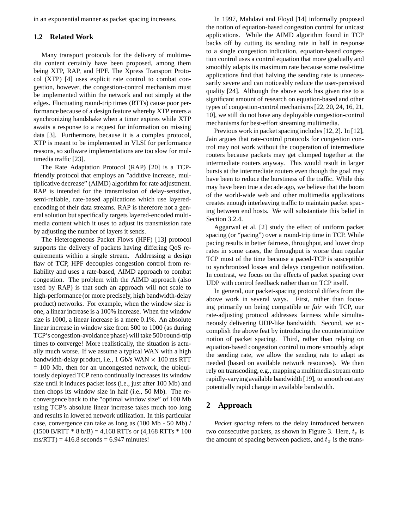in an exponential manner as packet spacing increases.

## **1.2 Related Work**

Many transport protocols for the delivery of multimedia content certainly have been proposed, among them being XTP, RAP, and HPF. The Xpress Transport Protocol (XTP) [4] uses explicit rate control to combat congestion, however, the congestion-control mechanism must be implemented within the network and not simply at the edges. Fluctuating round-trip times (RTTs) cause poor performance because of a design feature whereby XTP enters a synchronizing handshake when a timer expires while XTP awaits a response to a request for information on missing data [3]. Furthermore, because it is a complex protocol, XTP is meant to be implemented in VLSI for performance reasons, so software implementations are too slow for multimedia traffic [23].

The Rate Adaptation Protocol (RAP) [20] is a TCPfriendly protocol that employs an "additive increase, multiplicative decrease" (AIMD) algorithm for rate adjustment. RAP is intended for the transmission of delay-sensitive, semi-reliable, rate-based applications which use layeredencoding of their data streams. RAP is therefore not a general solution but specifically targets layered-encoded multimedia content which it uses to adjust its transmission rate by adjusting the number of layers it sends.

The Heterogeneous Packet Flows (HPF) [13] protocol supports the delivery of packets having differing QoS requirements within a single stream. Addressing a design flaw of TCP, HPF decouples congestion control from reliability and uses a rate-based, AIMD approach to combat congestion. The problem with the AIMD approach (also used by RAP) is that such an approach will not scale to high-performance (or more precisely, high bandwidth-delay product) networks. For example, when the window size is one, a linear increase is a 100% increase. When the window size is 1000, a linear increase is a mere 0.1%. An absolute linear increase in window size from 500 to 1000 (as during TCP's congestion-avoidance phase) will take 500 round-trip times to converge! More realistically, the situation is actually much worse. If we assume a typical WAN with a high bandwidth-delay product, i.e., 1 Gb/s WAN  $\times$  100 ms RTT  $= 100$  Mb, then for an uncongested network, the ubiquitously deployed TCP reno continually increases its window size until it induces packet loss (i.e., just after 100 Mb) and then chops its window size in half (i.e., 50 Mb). The reconvergence back to the "optimal window size" of 100 Mb using TCP's absolute linear increase takes much too long and results in lowered network utilization. In this particular case, convergence can take as long as (100 Mb - 50 Mb) /  $(1500 B/RTT * 8 b/B) = 4,168 RTTs$  or  $(4,168 RTTs * 100$  $ms/RTT) = 416.8$  seconds = 6.947 minutes!

In 1997, Mahdavi and Floyd [14] informally proposed the notion of equation-based congestion control for unicast applications. While the AIMD algorithm found in TCP backs off by cutting its sending rate in half in response to a single congestion indication, equation-based congestion control uses a control equation that more gradually and smoothly adapts its maximum rate because some real-time applications find that halving the sending rate is unnecessarily severe and can noticeably reduce the user-perceived quality [24]. Although the above work has given rise to a significant amount of research on equation-based and other types of congestion-control mechanisms [22, 20, 24, 16, 21, 10], we still do not have any deployable congestion-control mechanisms for best-effort streaming multimedia.

Previous work in packet spacing includes [12, 2]. In [12], Jain argues that rate-control protocols for congestion control may not work without the cooperation of intermediate routers because packets may get clumped together at the intermediate routers anyway. This would result in larger bursts at the intermediate routers even though the goal may have been to reduce the burstiness of the traffic. While this may have been true a decade ago, we believe that the boom of the world-wide web and other multimedia applications creates enough interleaving traffic to maintain packet spacing between end hosts. We will substantiate this belief in Section 3.2.4.

Aggarwal et al. [2] study the effect of uniform packet spacing (or "pacing") over a round-trip time in TCP. While pacing results in better fairness, throughput, and lower drop rates in some cases, the throughput is worse than regular TCP most of the time because a paced-TCP is susceptible to synchronized losses and delays congestion notification. In contrast, we focus on the effects of packet spacing over UDP with control feedback rather than on TCP itself.

In general, our packet-spacing protocol differs from the above work in several ways. First, rather than focusing primarily on being compatible or *fair* with TCP, our rate-adjusting protocol addresses fairness while simultaneously delivering UDP-like bandwidth. Second, we accomplish the above feat by introducing the counterintuitive notion of packet spacing. Third, rather than relying on equation-based congestion control to more smoothly adapt the sending rate, we allow the sending rate to adapt as needed (based on available network resources). We then rely on transcoding, e.g., mapping a multimedia stream onto rapidly-varying available bandwidth [19], to smooth out any potentially rapid change in available bandwidth.

## **2 Approach**

*Packet spacing* refers to the delay introduced between two consecutive packets, as shown in Figure 3. Here,  $t_s$  is the amount of spacing between packets, and  $t_x$  is the trans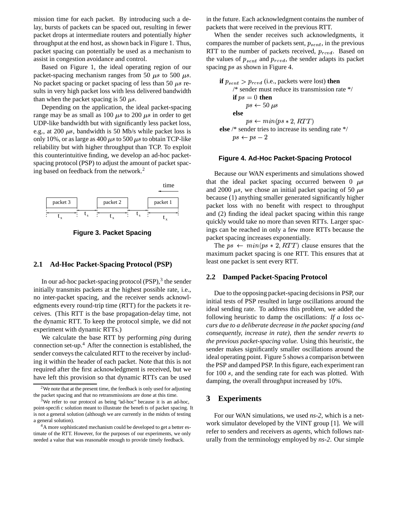mission time for each packet. By introducing such a delay, bursts of packets can be spaced out, resulting in fewer packet drops at intermediate routers and potentially *higher* throughput at the end host, as shown back in Figure 1. Thus, packet spacing can potentially be used as a mechanism to assist in congestion avoidance and control.

Based on Figure 1, the ideal operating region of our packet-spacing mechanism ranges from 50  $\mu s$  to 500  $\mu s$ . No packet spacing or packet spacing of less than 50  $\mu s$  results in very high packet loss with less delivered bandwidth than when the packet spacing is 50  $\mu s$ .

Depending on the application, the ideal packet-spacing range may be as small as 100  $\mu s$  to 200  $\mu s$  in order to get UDP-like bandwidth but with significantly less packet loss, e.g., at 200  $\mu s$ , bandwidth is 50 Mb/s while packet loss is only 10%, or as large as 400  $\mu s$  to 500  $\mu s$  to obtain TCP-like reliability but with higher throughput than TCP. To exploit this counterintuitive finding, we develop an ad-hoc packetspacing protocol (PSP) to adjust the amount of packet spacing based on feedback from the network.<sup>2</sup>



**Figure 3. Packet Spacing**

#### **2.1 Ad-Hoc Packet-Spacing Protocol (PSP)**

In our ad-hoc packet-spacing protocol  $(PSP)$ ,  $3$  the sender initially transmits packets at the highest possible rate, i.e., no inter-packet spacing, and the receiver sends acknowledgments every round-trip time (RTT) for the packets it receives. (This RTT is the base propagation-delay time, not the dynamic RTT. To keep the protocol simple, we did not experiment with dynamic RTTs.)

We calculate the base RTT by performing *ping* during connection set-up.<sup>4</sup> After the connection is established, the sender conveysthe calculated RTT to the receiver by including it within the header of each packet. Note that this is not required after the first acknowledgment is received, but we have left this provision so that dynamic RTTs can be used in the future. Each acknowledgment contains the number of packets that were received in the previous RTT.

When the sender receives such acknowledgments, it compares the number of packets sent,  $p_{sent}$ , in the previous RTT to the number of packets received,  $p_{rcvd}$ . Based on the values of  $p_{sent}$  and  $p_{rcvd}$ , the sender adapts its packet spacing  $ps$  as shown in Figure 4.

**if**  $p_{sent} > p_{rcvd}$  (i.e., packets were lost) **then** /\* sender must reduce its transmission rate \*/  $\mathbf{if} \; ps = 0 \; \mathbf{then}$  $ps \leftarrow 50 \,\mu s$ **else**  $ps \leftarrow min(ps * 2, KTT)$ **else** /\* sender tries to increase its sending rate \*/  $ps \leftarrow ps - 2$ 

#### **Figure 4. Ad-Hoc Packet-Spacing Protocol**

Because our WAN experiments and simulations showed that the ideal packet spacing occurred between  $0 \mu s$ and 2000  $\mu s$ , we chose an initial packet spacing of 50  $\mu s$ because (1) anything smaller generated significantly higher packet loss with no benefit with respect to throughput and (2) finding the ideal packet spacing within this range quickly would take no more than seven RTTs. Larger spacings can be reached in only a few more RTTs because the packet spacing increases exponentially.

The  $ps \leftarrow min(ps * 2, RTT)$  clause ensures that the maximum packet spacing is one RTT. This ensures that at least one packet is sent every RTT.

#### **2.2 Damped Packet-Spacing Protocol**

Due to the opposing packet-spacing decisions in PSP, our initial tests of PSP resulted in large oscillations around the ideal sending rate. To address this problem, we added the following heuristic to damp the oscillations: *If a loss occurs due to a deliberate decrease in the packet spacing (and consequently, increase in rate), then the sender reverts to the previous packet-spacing value.* Using this heuristic, the sender makes significantly smaller oscillations around the ideal operating point. Figure 5 shows a comparison between the PSP and damped PSP. In this figure, each experiment ran for 100 s, and the sending rate for each was plotted. With damping, the overall throughput increased by 10%.

#### **3 Experiments**

For our WAN simulations, we used *ns-2*, which is a network simulator developed by the VINT group [1]. We will refer to senders and receivers as *agents*, which follows naturally from the terminology employed by *ns-2*. Our simple

<sup>&</sup>lt;sup>2</sup>We note that at the present time, the feedback is only used for adjusting the packet spacing and that no retransmissions are done at this time.

<sup>&</sup>lt;sup>3</sup>We refer to our protocol as being "ad-hoc" because it is an ad-hoc, point-specific solution meant to illustrate the benefits of packet spacing. It is not a general solution (although we are currently in the midsts of testing a general solution).

<sup>&</sup>lt;sup>4</sup>A more sophisticated mechanism could be developed to get a better estimate of the RTT. However, for the purposes of our experiments, we only needed a value that was reasonable enough to provide timely feedback.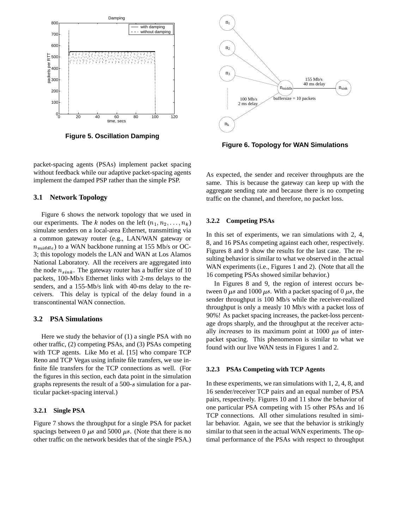

**Figure 5. Oscillation Damping**

packet-spacing agents (PSAs) implement packet spacing without feedback while our adaptive packet-spacing agents implement the damped PSP rather than the simple PSP.

## **3.1 Network Topology**

Figure 6 shows the network topology that we used in our experiments. The k nodes on the left  $(n_1, n_2, \ldots, n_k)$ simulate senders on a local-area Ethernet, transmitting via a common gateway router (e.g., LAN/WAN gateway or  $n_{middle}$ ) to a WAN backbone running at 155 Mb/s or OC-3; this topology models the LAN and WAN at Los Alamos National Laboratory. All the receivers are aggregated into the node  $n_{sink}$ . The gateway router has a buffer size of 10 packets, 100-Mb/s Ethernet links with 2-ms delays to the senders, and a 155-Mb/s link with 40-ms delay to the receivers. This delay is typical of the delay found in a transcontinental WAN connection.

## **3.2 PSA Simulations**

Here we study the behavior of (1) a single PSA with no other traffic, (2) competing PSAs, and (3) PSAs competing with TCP agents. Like Mo et al. [15] who compare TCP Reno and TCP Vegas using infinite file transfers, we use infinite file transfers for the TCP connections as well. (For the figures in this section, each data point in the simulation graphs represents the result of a  $500-s$  simulation for a particular packet-spacing interval.)

#### **3.2.1 Single PSA**

Figure 7 shows the throughput for a single PSA for packet spacings between 0  $\mu s$  and 5000  $\mu s$ . (Note that there is no other traffic on the network besides that of the single PSA.)



**Figure 6. Topology for WAN Simulations**

As expected, the sender and receiver throughputs are the same. This is because the gateway can keep up with the aggregate sending rate and because there is no competing traffic on the channel, and therefore, no packet loss.

## **3.2.2 Competing PSAs**

In this set of experiments, we ran simulations with 2, 4, 8, and 16 PSAs competing against each other, respectively. Figures 8 and 9 show the results for the last case. The resulting behavior is similar to what we observed in the actual WAN experiments (i.e., Figures 1 and 2). (Note that all the 16 competing PSAs showed similar behavior.)

In Figures 8 and 9, the region of interest occurs between 0  $\mu s$  and 1000  $\mu s$ . With a packet spacing of 0  $\mu s$ , the sender throughput is 100 Mb/s while the receiver-realized throughput is only a measly 10 Mb/s with a packet loss of 90%! As packet spacing increases, the packet-loss percentage drops sharply, and the throughput at the receiver actually *increases* to its maximum point at  $1000 \mu s$  of interpacket spacing. This phenomenon is similar to what we found with our live WAN tests in Figures 1 and 2.

#### **3.2.3 PSAs Competing with TCP Agents**

In these experiments, we ran simulations with 1, 2, 4, 8, and 16 sender/receiver TCP pairs and an equal number of PSA pairs, respectively. Figures 10 and 11 show the behavior of one particular PSA competing with 15 other PSAs and 16 TCP connections. All other simulations resulted in similar behavior. Again, we see that the behavior is strikingly similar to that seen in the actual WAN experiments. The optimal performance of the PSAs with respect to throughput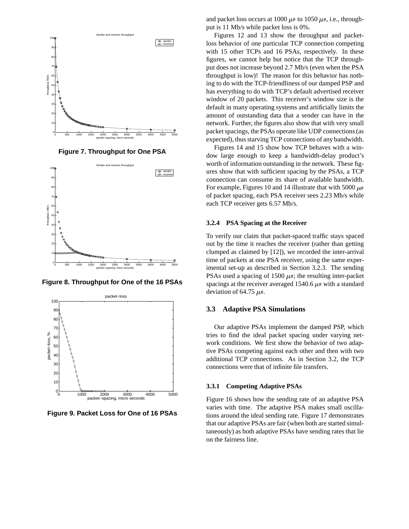

**Figure 7. Throughput for One PSA**



**Figure 8. Throughput for One of the 16 PSAs**



**Figure 9. Packet Loss for One of 16 PSAs**

and packet loss occurs at 1000  $\mu s$  to 1050  $\mu s$ , i.e., throughput is 11 Mb/s while packet loss is 0%.

Figures 12 and 13 show the throughput and packetloss behavior of one particular TCP connection competing with 15 other TCPs and 16 PSAs, respectively. In these figures, we cannot help but notice that the TCP throughput does not increase beyond 2.7 Mb/s (even when the PSA throughput is low)! The reason for this behavior has nothing to do with the TCP-friendliness of our damped PSP and has everything to do with TCP's default advertised receiver window of 20 packets. This receiver's window size is the default in many operating systems and artificially limits the amount of outstanding data that a sender can have in the network. Further, the figures also show that with very small packet spacings, the PSAs operate like UDP connections (as expected), thus starving TCP connections of any bandwidth.

Figures 14 and 15 show how TCP behaves with a window large enough to keep a bandwidth-delay product's worth of information outstanding in the network. These figures show that with sufficient spacing by the PSAs, a TCP connection can consume its share of available bandwidth. For example, Figures 10 and 14 illustrate that with 5000  $\mu s$ of packet spacing, each PSA receiver sees 2.23 Mb/s while each TCP receiver gets 6.57 Mb/s.

#### **3.2.4 PSA Spacing at the Receiver**

To verify our claim that packet-spaced traffic stays spaced out by the time it reaches the receiver (rather than getting clumped as claimed by [12]), we recorded the inter-arrival time of packets at one PSA receiver, using the same experimental set-up as described in Section 3.2.3. The sending PSAs used a spacing of 1500  $\mu s$ ; the resulting inter-packet spacings at the receiver averaged  $1540.6 \mu s$  with a standard deviation of 64.75  $\mu s$ .

## **3.3 Adaptive PSA Simulations**

Our adaptive PSAs implement the damped PSP, which tries to find the ideal packet spacing under varying network conditions. We first show the behavior of two adaptive PSAs competing against each other and then with two additional TCP connections. As in Section 3.2, the TCP connections were that of infinite file transfers.

#### **3.3.1 Competing Adaptive PSAs**

Figure 16 shows how the sending rate of an adaptive PSA varies with time. The adaptive PSA makes small oscillations around the ideal sending rate. Figure 17 demonstrates that our adaptive PSAs are fair (when both are started simultaneously) as both adaptive PSAs have sending rates that lie on the fairness line.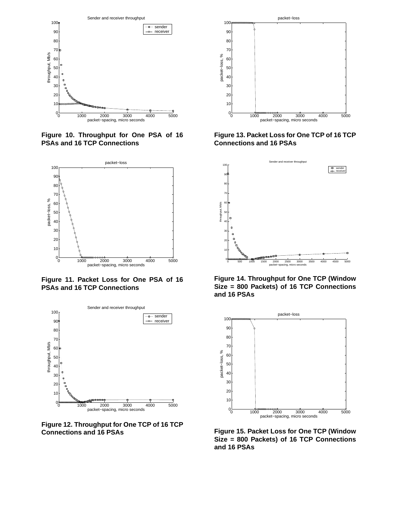

**Figure 10. Throughput for One PSA of 16 PSAs and 16 TCP Connections**



**Figure 11. Packet Loss for One PSA of 16 PSAs and 16 TCP Connections**



**Figure 12. Throughput for One TCP of 16 TCP Connections and 16 PSAs**



**Figure 13. Packet Loss for One TCP of 16 TCP Connections and 16 PSAs**



**Figure 14. Throughput for One TCP (Window Size = 800 Packets) of 16 TCP Connections and 16 PSAs**



**Figure 15. Packet Loss for One TCP (Window Size = 800 Packets) of 16 TCP Connections and 16 PSAs**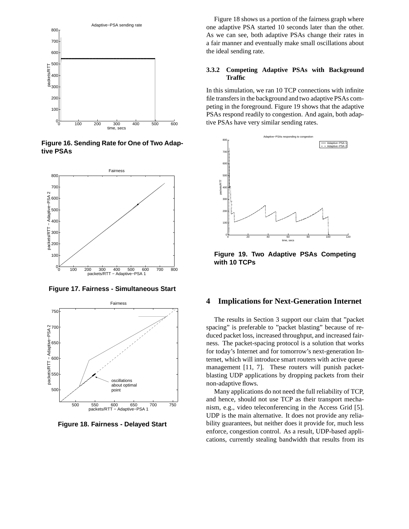

**Figure 16. Sending Rate for One of Two Adaptive PSAs**



**Figure 17. Fairness - Simultaneous Start**



**Figure 18. Fairness - Delayed Start**

Figure 18 shows us a portion of the fairness graph where one adaptive PSA started 10 seconds later than the other. As we can see, both adaptive PSAs change their rates in a fair manner and eventually make small oscillations about the ideal sending rate.

## **3.3.2 Competing Adaptive PSAs with Background Traffic**

In this simulation, we ran 10 TCP connections with infinite file transfersin the background and two adaptive PSAs competing in the foreground. Figure 19 shows that the adaptive PSAs respond readily to congestion. And again, both adaptive PSAs have very similar sending rates.



**Figure 19. Two Adaptive PSAs Competing with 10 TCPs**

## **4 Implications for Next-Generation Internet**

The results in Section 3 support our claim that "packet spacing" is preferable to "packet blasting" because of reduced packet loss, increased throughput, and increased fairness. The packet-spacing protocol is a solution that works for today's Internet and for tomorrow's next-generation Internet, which will introduce smart routers with active queue management [11, 7]. These routers will punish packetblasting UDP applications by dropping packets from their non-adaptive flows.

Many applications do not need the full reliability of TCP, and hence, should not use TCP as their transport mechanism, e.g., video teleconferencing in the Access Grid [5]. UDP is the main alternative. It does not provide any reliability guarantees, but neither does it provide for, much less enforce, congestion control. As a result, UDP-based applications, currently stealing bandwidth that results from its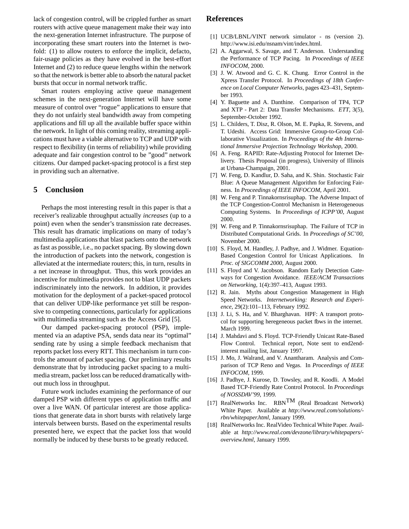lack of congestion control, will be crippled further as smart routers with active queue management make their way into the next-generation Internet infrastructure. The purpose of incorporating these smart routers into the Internet is twofold: (1) to allow routers to enforce the implicit, defacto, fair-usage policies as they have evolved in the best-effort Internet and (2) to reduce queue lengths within the network so that the network is better able to absorb the natural packet bursts that occur in normal network traffic.

Smart routers employing active queue management schemes in the next-generation Internet will have some measure of control over "rogue" applications to ensure that they do not unfairly steal bandwidth away from competing applications and fill up all the available buffer space within the network. In light of this coming reality, streaming applications must have a viable alternative to TCP and UDP with respect to flexibility (in terms of reliability) while providing adequate and fair congestion control to be "good" network citizens. Our damped packet-spacing protocol is a first step in providing such an alternative.

## **5 Conclusion**

Perhaps the most interesting result in this paper is that a receiver's realizable throughput actually *increases* (up to a point) even when the sender's transmission rate decreases. This result has dramatic implications on many of today's multimedia applications that blast packets onto the network as fast as possible, i.e., no packet spacing. By slowing down the introduction of packets into the network, congestion is alleviated at the intermediate routers; this, in turn, results in a net increase in throughput. Thus, this work provides an incentive for multimedia provides not to blast UDP packets indiscriminately into the network. In addition, it provides motivation for the deployment of a packet-spaced protocol that can deliver UDP-like performance yet still be responsive to competing connections, particularly for applications with multimedia streaming such as the Access Grid [5].

Our damped packet-spacing protocol (PSP), implemented via an adaptive PSA, sends data near its "optimal" sending rate by using a simple feedback mechanism that reports packet loss every RTT. This mechanism in turn controls the amount of packet spacing. Our preliminary results demonstrate that by introducing packet spacing to a multimedia stream, packet loss can be reduced dramatically without much loss in throughput.

Future work includes examining the performance of our damped PSP with different types of application traffic and over a live WAN. Of particular interest are those applications that generate data in short bursts with relatively large intervals between bursts. Based on the experimental results presented here, we expect that the packet loss that would normally be induced by these bursts to be greatly reduced.

## **References**

- [1] UCB/LBNL/VINT network simulator ns (version 2). http://www.isi.edu/nsnam/vint/index.html.
- [2] A. Aggarwal, S. Savage, and T. Anderson. Understanding the Performance of TCP Pacing. In *Proceedings of IEEE INFOCOM*, 2000.
- [3] J. W. Atwood and G. C. K. Chung. Error Control in the Xpress Transfer Protocol. In *Proceedings of 18th Conference on Local Computer Networks*, pages 423–431, September 1993.
- [4] Y. Baguette and A. Danthine. Comparison of TP4, TCP and XTP - Part 2: Data Transfer Mechanisms. *ETT*, 3(5), September-October 1992.
- [5] L. Childers, T. Disz, R. Olson, M. E. Papka, R. Stevens, and T. Udeshi. Access Grid: Immersive Group-to-Group Collaborative Visualization. In *Proceedings of the 4th International Immersive Projection Technology Workshop*, 2000.
- [6] A. Feng. RAPID: Rate-Adjusting Protocol for Internet Delivery. Thesis Proposal (in progress), University of Illinois at Urbana-Champaign, 2001.
- [7] W. Feng, D. Kandlur, D. Saha, and K. Shin. Stochastic Fair Blue: A Queue Management Algorithm for Enforcing Fairness. In *Proceedings of IEEE INFOCOM*, April 2001.
- [8] W. Feng and P. Tinnakornsrisuphap. The Adverse Impact of the TCP Congestion-Control Mechanism in Heterogeneous Computing Systems. In *Proceedings of ICPP'00*, August 2000.
- [9] W. Feng and P. Tinnakornsrisuphap. The Failure of TCP in Distributed Computational Grids. In *Proceedings of SC'00*, November 2000.
- [10] S. Floyd, M. Handley, J. Padhye, and J. Widmer. Equation-Based Congestion Control for Unicast Applications. In *Proc. of SIGCOMM 2000*, August 2000.
- [11] S. Floyd and V. Jacobson. Random Early Detection Gateways for Congestion Avoidance. *IEEE/ACM Transactions on Networking*, 1(4):397–413, August 1993.
- [12] R. Jain. Myths about Congestion Management in High Speed Networks. *Internetworking: Research and Experience*, 29(2):101–113, February 1992.
- [13] J. Li, S. Ha, and V. Bharghavan. HPF: A transport protocol for supporting heregeneous packet fbws in the internet. March 1999.
- [14] J. Mahdavi and S. Floyd. TCP-Friendly Unicast Rate-Based Flow Control. Technical report, Note sent to end2endinterest mailing list, January 1997.
- [15] J. Mo, J. Walrand, and V. Anantharam. Analysis and Comparison of TCP Reno and Vegas. In *Proceedings of IEEE INFOCOM*, 1999.
- [16] J. Padhye, J. Kurose, D. Towsley, and R. Koodli. A Model Based TCP-Friendly Rate Control Protocol. In *Proceedings of NOSSDAV'99*, 1999.
- [17] RealNetworks Inc. RBN<sup>TM</sup> (Real Broadcast Network) White Paper. Available at *http://www.real.com/solutions/ rbn/whitepaper.html*, January 1999.
- [18] RealNetworks Inc. RealVideo Technical White Paper. Available at *http://www.real.com/devzone/library/whitepapers/ overview.html*, January 1999.